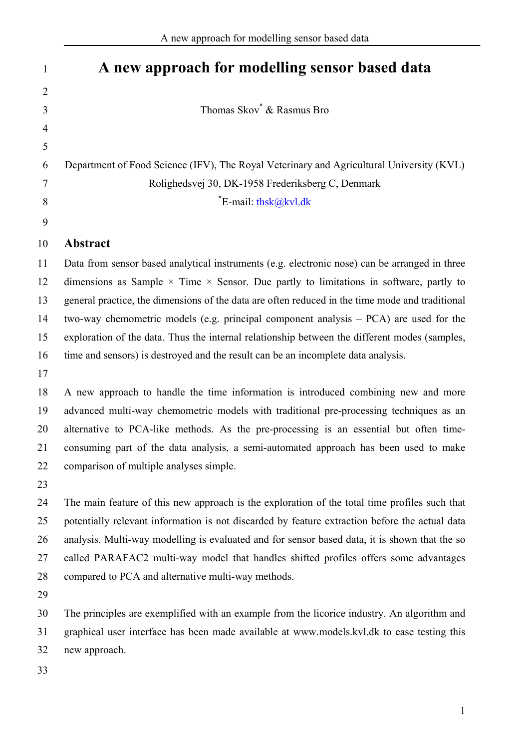| $\mathbf{1}$   | A new approach for modelling sensor based data                                                       |
|----------------|------------------------------------------------------------------------------------------------------|
| $\overline{2}$ |                                                                                                      |
| 3              | Thomas Skov <sup>*</sup> & Rasmus Bro                                                                |
| $\overline{4}$ |                                                                                                      |
| 5              |                                                                                                      |
| 6              | Department of Food Science (IFV), The Royal Veterinary and Agricultural University (KVL)             |
| 7              | Rolighedsvej 30, DK-1958 Frederiksberg C, Denmark                                                    |
| 8              | <sup>*</sup> E-mail: thsk@kvl.dk                                                                     |
| 9              |                                                                                                      |
| 10             | Abstract                                                                                             |
| 11             | Data from sensor based analytical instruments (e.g. electronic nose) can be arranged in three        |
| 12             | dimensions as Sample $\times$ Time $\times$ Sensor. Due partly to limitations in software, partly to |
| 13             | general practice, the dimensions of the data are often reduced in the time mode and traditional      |
| 14             | two-way chemometric models (e.g. principal component analysis $- PCA$ ) are used for the             |
| 15             | exploration of the data. Thus the internal relationship between the different modes (samples,        |
| 16             | time and sensors) is destroyed and the result can be an incomplete data analysis.                    |
| 17             |                                                                                                      |
| 18             | A new approach to handle the time information is introduced combining new and more                   |
| 19             | advanced multi-way chemometric models with traditional pre-processing techniques as an               |
| 20             | alternative to PCA-like methods. As the pre-processing is an essential but often time-               |
| 21             | consuming part of the data analysis, a semi-automated approach has been used to make                 |
| 22             | comparison of multiple analyses simple.                                                              |
| 23             |                                                                                                      |
| 24             | The main feature of this new approach is the exploration of the total time profiles such that        |
| 25             | potentially relevant information is not discarded by feature extraction before the actual data       |
| 26             | analysis. Multi-way modelling is evaluated and for sensor based data, it is shown that the so        |
| 27             | called PARAFAC2 multi-way model that handles shifted profiles offers some advantages                 |
| 28             | compared to PCA and alternative multi-way methods.                                                   |
| 29             |                                                                                                      |
| 30             | The principles are exemplified with an example from the licorice industry. An algorithm and          |
| 31             | graphical user interface has been made available at www.models.kvl.dk to ease testing this           |
| 32             | new approach.                                                                                        |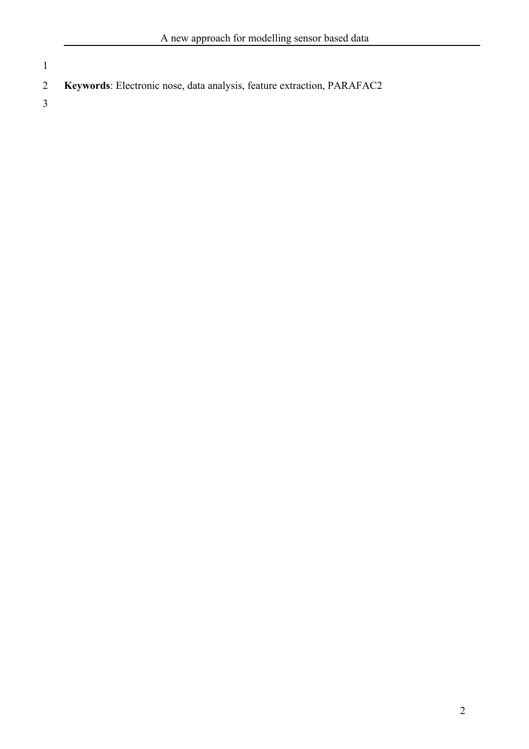**Keywords**: Electronic nose, data analysis, feature extraction, PARAFAC2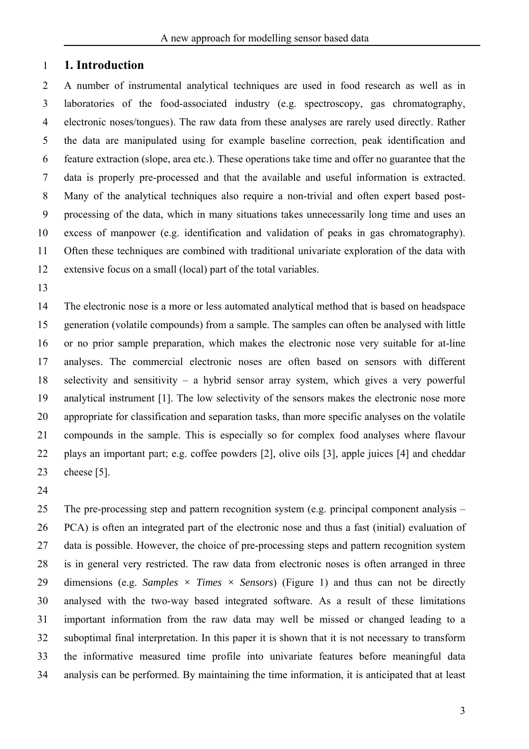### 1 **1. Introduction**

2 3 4 5 6 7 8 9 10 11 12 A number of instrumental analytical techniques are used in food research as well as in laboratories of the food-associated industry (e.g. spectroscopy, gas chromatography, electronic noses/tongues). The raw data from these analyses are rarely used directly. Rather the data are manipulated using for example baseline correction, peak identification and feature extraction (slope, area etc.). These operations take time and offer no guarantee that the data is properly pre-processed and that the available and useful information is extracted. Many of the analytical techniques also require a non-trivial and often expert based postprocessing of the data, which in many situations takes unnecessarily long time and uses an excess of manpower (e.g. identification and validation of peaks in gas chromatography). Often these techniques are combined with traditional univariate exploration of the data with extensive focus on a small (local) part of the total variables.

13

14 15 16 17 18 19 20 21 22 23 The electronic nose is a more or less automated analytical method that is based on headspace generation (volatile compounds) from a sample. The samples can often be analysed with little or no prior sample preparation, which makes the electronic nose very suitable for at-line analyses. The commercial electronic noses are often based on sensors with different selectivity and sensitivity – a hybrid sensor array system, which gives a very powerful analytical instrument [1]. The low selectivity of the sensors makes the electronic nose more appropriate for classification and separation tasks, than more specific analyses on the volatile compounds in the sample. This is especially so for complex food analyses where flavour plays an important part; e.g. coffee powders [2], olive oils [3], apple juices [4] and cheddar cheese [5].

24

25 26 27 28 29 30 31 32 33 34 The pre-processing step and pattern recognition system (e.g. principal component analysis – PCA) is often an integrated part of the electronic nose and thus a fast (initial) evaluation of data is possible. However, the choice of pre-processing steps and pattern recognition system is in general very restricted. The raw data from electronic noses is often arranged in three dimensions (e.g. *Samples*  $\times$  *Times*  $\times$  *Sensors*) (Figure 1) and thus can not be directly analysed with the two-way based integrated software. As a result of these limitations important information from the raw data may well be missed or changed leading to a suboptimal final interpretation. In this paper it is shown that it is not necessary to transform the informative measured time profile into univariate features before meaningful data analysis can be performed. By maintaining the time information, it is anticipated that at least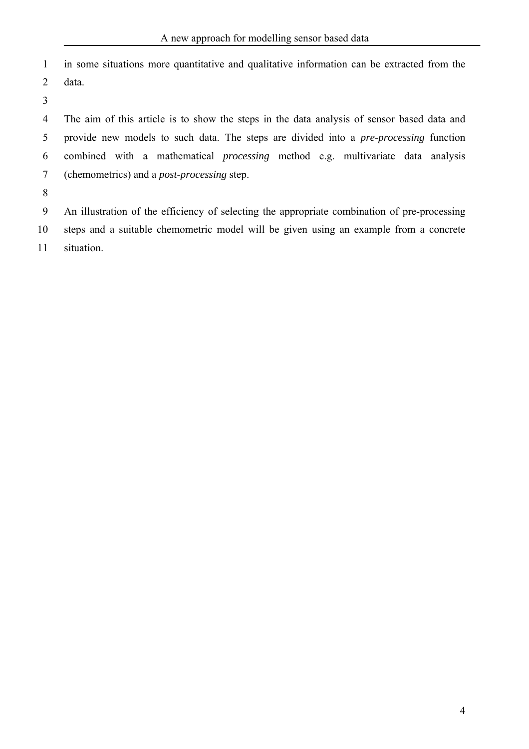1 2 in some situations more quantitative and qualitative information can be extracted from the data.

3

4 5 6 7 The aim of this article is to show the steps in the data analysis of sensor based data and provide new models to such data. The steps are divided into a *pre-processing* function combined with a mathematical *processing* method e.g. multivariate data analysis (chemometrics) and a *post-processing* step.

8

9 10 11 An illustration of the efficiency of selecting the appropriate combination of pre-processing steps and a suitable chemometric model will be given using an example from a concrete situation.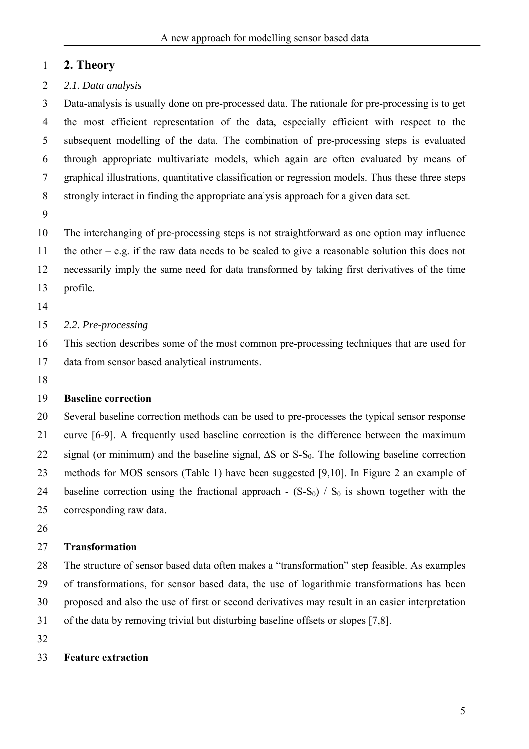### 1 **2. Theory**

2 *2.1. Data analysis* 

3 4 5 6 7 8 Data-analysis is usually done on pre-processed data. The rationale for pre-processing is to get the most efficient representation of the data, especially efficient with respect to the subsequent modelling of the data. The combination of pre-processing steps is evaluated through appropriate multivariate models, which again are often evaluated by means of graphical illustrations, quantitative classification or regression models. Thus these three steps strongly interact in finding the appropriate analysis approach for a given data set.

9

10 11 12 13 The interchanging of pre-processing steps is not straightforward as one option may influence the other – e.g. if the raw data needs to be scaled to give a reasonable solution this does not necessarily imply the same need for data transformed by taking first derivatives of the time profile.

14

#### 15 *2.2. Pre-processing*

16 17 This section describes some of the most common pre-processing techniques that are used for data from sensor based analytical instruments.

18

### 19 **Baseline correction**

20 21 22 23 24 25 Several baseline correction methods can be used to pre-processes the typical sensor response curve [6-9]. A frequently used baseline correction is the difference between the maximum signal (or minimum) and the baseline signal,  $\Delta S$  or S-S<sub>0</sub>. The following baseline correction methods for MOS sensors (Table 1) have been suggested [9,10]. In Figure 2 an example of baseline correction using the fractional approach -  $(S-S<sub>0</sub>) / S<sub>0</sub>$  is shown together with the corresponding raw data.

26

#### 27 **Transformation**

28 29 30 31 The structure of sensor based data often makes a "transformation" step feasible. As examples of transformations, for sensor based data, the use of logarithmic transformations has been proposed and also the use of first or second derivatives may result in an easier interpretation of the data by removing trivial but disturbing baseline offsets or slopes [7,8].

32

### 33 **Feature extraction**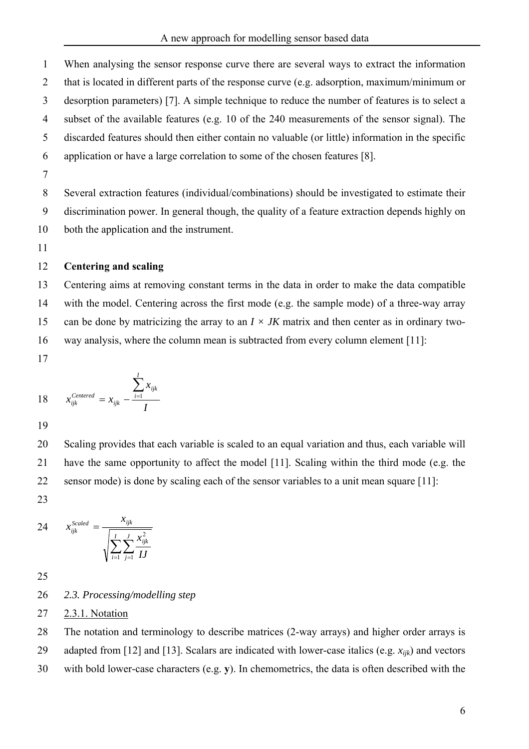1 2 3 4 5 6 7 When analysing the sensor response curve there are several ways to extract the information that is located in different parts of the response curve (e.g. adsorption, maximum/minimum or desorption parameters) [7]. A simple technique to reduce the number of features is to select a subset of the available features (e.g. 10 of the 240 measurements of the sensor signal). The discarded features should then either contain no valuable (or little) information in the specific application or have a large correlation to some of the chosen features [8].

8 9 10 Several extraction features (individual/combinations) should be investigated to estimate their discrimination power. In general though, the quality of a feature extraction depends highly on both the application and the instrument.

11

### 12 **Centering and scaling**

13 14 15 16 Centering aims at removing constant terms in the data in order to make the data compatible with the model. Centering across the first mode (e.g. the sample mode) of a three-way array can be done by matricizing the array to an  $I \times JK$  matrix and then center as in ordinary twoway analysis, where the column mean is subtracted from every column element [11]:

17

18 
$$
x_{ijk}^{Centered} = x_{ijk} - \frac{\sum_{i=1}^{I} x_{ijk}}{I}
$$

19

20 21 22 Scaling provides that each variable is scaled to an equal variation and thus, each variable will have the same opportunity to affect the model [11]. Scaling within the third mode (e.g. the sensor mode) is done by scaling each of the sensor variables to a unit mean square [11]:

23

24 
$$
x_{ijk}^{Scaled} = \frac{x_{ijk}}{\sqrt{\sum_{i=1}^{I} \sum_{j=1}^{J} \frac{x_{ijk}^2}{IJ}}
$$

25

### 26 *2.3. Processing/modelling step*

27 2.3.1. Notation

28 29 The notation and terminology to describe matrices (2-way arrays) and higher order arrays is adapted from [12] and [13]. Scalars are indicated with lower-case italics (e.g. *xijk*) and vectors

30 with bold lower-case characters (e.g. **y**). In chemometrics, the data is often described with the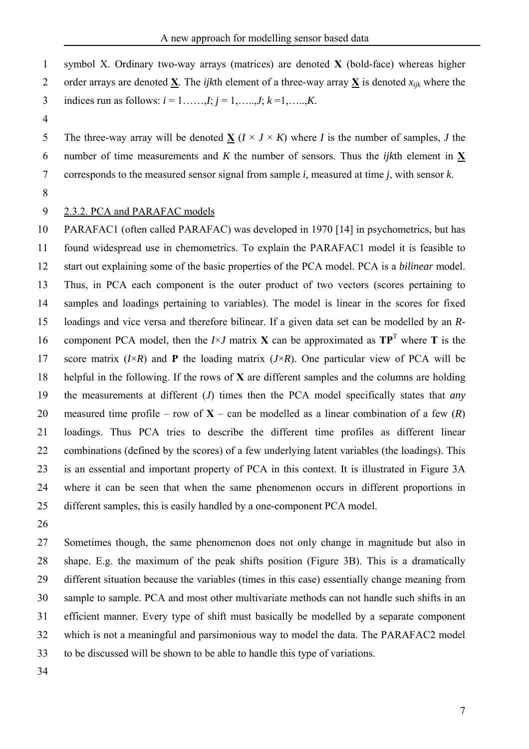symbol X. Ordinary two-way arrays (matrices) are denoted **X** (bold-face) whereas higher order arrays are denoted **X**. The *ijk*th element of a three-way array **X** is denoted *xijk* where the 1 2

- indices run as follows:  $i = 1, \ldots, I; j = 1, \ldots, J; k = 1, \ldots, K$ . 3
- 4

The three-way array will be denoted  $\underline{X}$  ( $I \times J \times K$ ) where *I* is the number of samples, *J* the number of time measurements and *K* the number of sensors. Thus the *ijk*th element in  $\underline{X}$ 5 corresponds to the measured sensor signal from sample *i*, measured at time *j*, with sensor *k*. 6 7

8

#### 9 2.3.2. PCA and PARAFAC models

10 11 12 13 14 15 16 17 18 19 20 21 22 23 24 25 PARAFAC1 (often called PARAFAC) was developed in 1970 [14] in psychometrics, but has found widespread use in chemometrics. To explain the PARAFAC1 model it is feasible to start out explaining some of the basic properties of the PCA model. PCA is a *bilinear* model. Thus, in PCA each component is the outer product of two vectors (scores pertaining to samples and loadings pertaining to variables). The model is linear in the scores for fixed loadings and vice versa and therefore bilinear. If a given data set can be modelled by an *R*component PCA model, then the  $I \times J$  matrix **X** can be approximated as  $TP<sup>T</sup>$  where **T** is the score matrix  $(I \times R)$  and **P** the loading matrix  $(J \times R)$ . One particular view of PCA will be helpful in the following. If the rows of **X** are different samples and the columns are holding the measurements at different (*J*) times then the PCA model specifically states that *any* measured time profile – row of  $X$  – can be modelled as a linear combination of a few  $(R)$ loadings. Thus PCA tries to describe the different time profiles as different linear combinations (defined by the scores) of a few underlying latent variables (the loadings). This is an essential and important property of PCA in this context. It is illustrated in Figure 3A where it can be seen that when the same phenomenon occurs in different proportions in different samples, this is easily handled by a one-component PCA model.

26

27 28 29 30 31 32 33 Sometimes though, the same phenomenon does not only change in magnitude but also in shape. E.g. the maximum of the peak shifts position (Figure 3B). This is a dramatically different situation because the variables (times in this case) essentially change meaning from sample to sample. PCA and most other multivariate methods can not handle such shifts in an efficient manner. Every type of shift must basically be modelled by a separate component which is not a meaningful and parsimonious way to model the data. The PARAFAC2 model to be discussed will be shown to be able to handle this type of variations.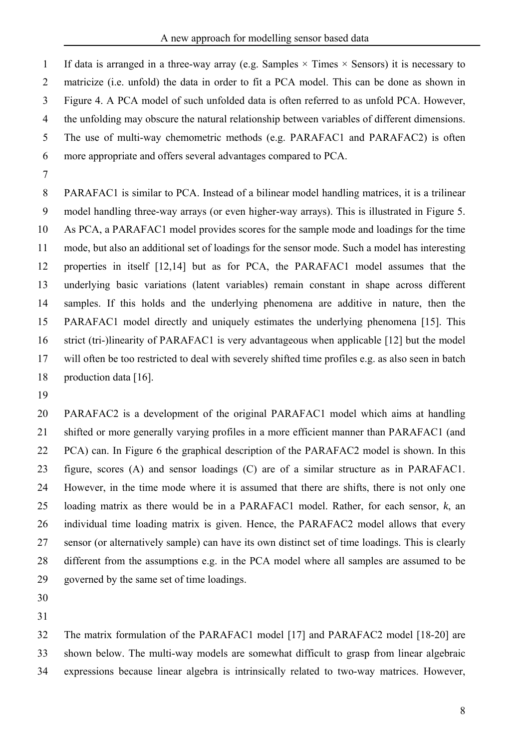1 2 3 4 5 6 If data is arranged in a three-way array (e.g. Samples  $\times$  Times  $\times$  Sensors) it is necessary to matricize (i.e. unfold) the data in order to fit a PCA model. This can be done as shown in Figure 4. A PCA model of such unfolded data is often referred to as unfold PCA. However, the unfolding may obscure the natural relationship between variables of different dimensions. The use of multi-way chemometric methods (e.g. PARAFAC1 and PARAFAC2) is often more appropriate and offers several advantages compared to PCA.

7

8 9 10 11 12 13 14 15 16 17 18 PARAFAC1 is similar to PCA. Instead of a bilinear model handling matrices, it is a trilinear model handling three-way arrays (or even higher-way arrays). This is illustrated in Figure 5. As PCA, a PARAFAC1 model provides scores for the sample mode and loadings for the time mode, but also an additional set of loadings for the sensor mode. Such a model has interesting properties in itself [12,14] but as for PCA, the PARAFAC1 model assumes that the underlying basic variations (latent variables) remain constant in shape across different samples. If this holds and the underlying phenomena are additive in nature, then the PARAFAC1 model directly and uniquely estimates the underlying phenomena [15]. This strict (tri-)linearity of PARAFAC1 is very advantageous when applicable [12] but the model will often be too restricted to deal with severely shifted time profiles e.g. as also seen in batch production data [16].

19

20 21 22 23 24 25 26 27 28 29 PARAFAC2 is a development of the original PARAFAC1 model which aims at handling shifted or more generally varying profiles in a more efficient manner than PARAFAC1 (and PCA) can. In Figure 6 the graphical description of the PARAFAC2 model is shown. In this figure, scores (A) and sensor loadings (C) are of a similar structure as in PARAFAC1. However, in the time mode where it is assumed that there are shifts, there is not only one loading matrix as there would be in a PARAFAC1 model. Rather, for each sensor, *k*, an individual time loading matrix is given. Hence, the PARAFAC2 model allows that every sensor (or alternatively sample) can have its own distinct set of time loadings. This is clearly different from the assumptions e.g. in the PCA model where all samples are assumed to be governed by the same set of time loadings.

30 31

32 33 34 The matrix formulation of the PARAFAC1 model [17] and PARAFAC2 model [18-20] are shown below. The multi-way models are somewhat difficult to grasp from linear algebraic expressions because linear algebra is intrinsically related to two-way matrices. However,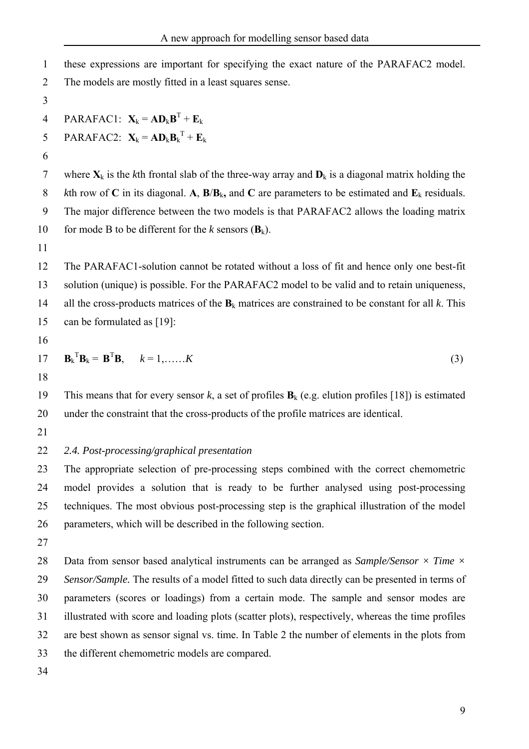| $\mathbf{1}$   | these expressions are important for specifying the exact nature of the PARAFAC2 model.                        |
|----------------|---------------------------------------------------------------------------------------------------------------|
| $\overline{2}$ | The models are mostly fitted in a least squares sense.                                                        |
| 3              |                                                                                                               |
| $\overline{4}$ | PARAFAC1: $\mathbf{X}_k = \mathbf{A} \mathbf{D}_k \mathbf{B}^T + \mathbf{E}_k$                                |
| 5              | PARAFAC2: $\mathbf{X}_k = \mathbf{A} \mathbf{D}_k \mathbf{B}_k^{\mathrm{T}} + \mathbf{E}_k$                   |
| 6              |                                                                                                               |
| $\overline{7}$ | where $X_k$ is the kth frontal slab of the three-way array and $D_k$ is a diagonal matrix holding the         |
| 8              | kth row of C in its diagonal. A, $B/B_k$ , and C are parameters to be estimated and $E_k$ residuals.          |
| 9              | The major difference between the two models is that PARAFAC2 allows the loading matrix                        |
| 10             | for mode B to be different for the k sensors $(B_k)$ .                                                        |
| 11             |                                                                                                               |
| 12             | The PARAFAC1-solution cannot be rotated without a loss of fit and hence only one best-fit                     |
| 13             | solution (unique) is possible. For the PARAFAC2 model to be valid and to retain uniqueness,                   |
| 14             | all the cross-products matrices of the $B_k$ matrices are constrained to be constant for all k. This          |
| 15             | can be formulated as [19]:                                                                                    |
| 16             |                                                                                                               |
| 17             | $\mathbf{B}_k^{\mathrm{T}} \mathbf{B}_k = \mathbf{B}^{\mathrm{T}} \mathbf{B}, \qquad k = 1, \ldots, K$<br>(3) |
| 18             |                                                                                                               |
| 19             | This means that for every sensor k, a set of profiles $B_k$ (e.g. elution profiles [18]) is estimated         |
| 20             | under the constraint that the cross-products of the profile matrices are identical.                           |
| 21             |                                                                                                               |
| 22             | 2.4. Post-processing/graphical presentation                                                                   |
| 23             | The appropriate selection of pre-processing steps combined with the correct chemometric                       |
| 24             | model provides a solution that is ready to be further analysed using post-processing                          |
| 25             | techniques. The most obvious post-processing step is the graphical illustration of the model                  |
| 26             | parameters, which will be described in the following section.                                                 |
| 27             |                                                                                                               |
| 28             | Data from sensor based analytical instruments can be arranged as Sample/Sensor $\times$ Time $\times$         |
| 29             | Sensor/Sample. The results of a model fitted to such data directly can be presented in terms of               |
| 30             | parameters (scores or loadings) from a certain mode. The sample and sensor modes are                          |
| 31             | illustrated with score and loading plots (scatter plots), respectively, whereas the time profiles             |
| 32             | are best shown as sensor signal vs. time. In Table 2 the number of elements in the plots from                 |
| 33             | the different chemometric models are compared.                                                                |
| 34             |                                                                                                               |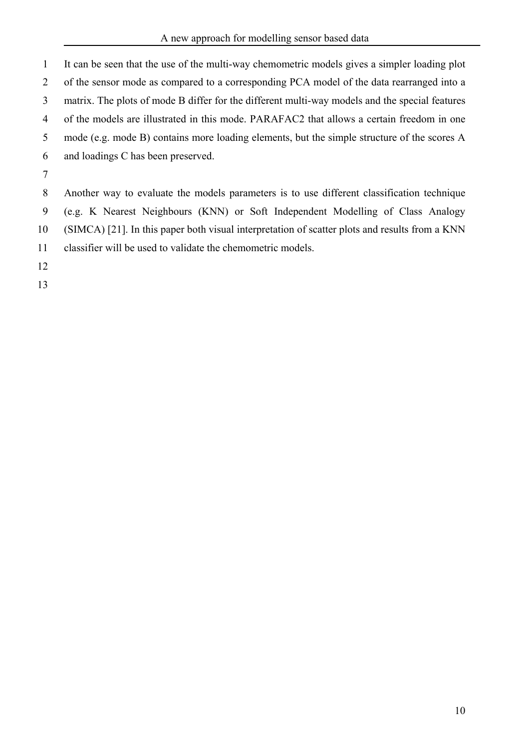1 2 3 4 5 6 7 It can be seen that the use of the multi-way chemometric models gives a simpler loading plot of the sensor mode as compared to a corresponding PCA model of the data rearranged into a matrix. The plots of mode B differ for the different multi-way models and the special features of the models are illustrated in this mode. PARAFAC2 that allows a certain freedom in one mode (e.g. mode B) contains more loading elements, but the simple structure of the scores A and loadings C has been preserved.

8 9 10 11 Another way to evaluate the models parameters is to use different classification technique (e.g. K Nearest Neighbours (KNN) or Soft Independent Modelling of Class Analogy (SIMCA) [21]. In this paper both visual interpretation of scatter plots and results from a KNN classifier will be used to validate the chemometric models.

12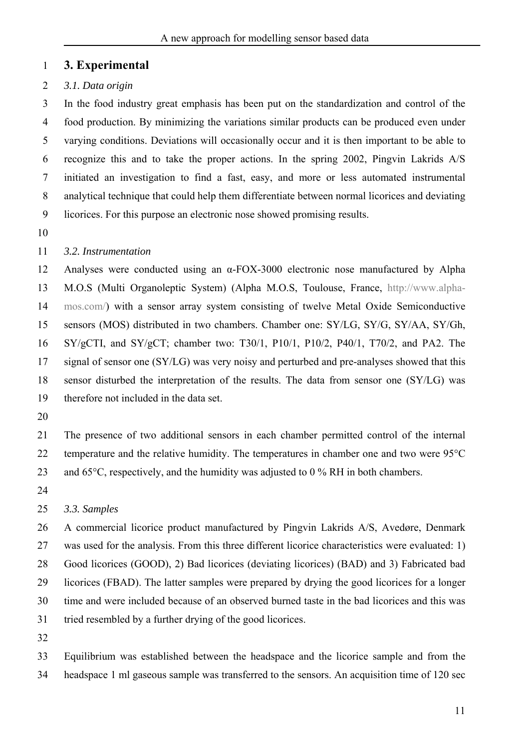## 1 **3. Experimental**

### 2 *3.1. Data origin*

3 4 5 6 7 8 9 In the food industry great emphasis has been put on the standardization and control of the food production. By minimizing the variations similar products can be produced even under varying conditions. Deviations will occasionally occur and it is then important to be able to recognize this and to take the proper actions. In the spring 2002, Pingvin Lakrids A/S initiated an investigation to find a fast, easy, and more or less automated instrumental analytical technique that could help them differentiate between normal licorices and deviating licorices. For this purpose an electronic nose showed promising results.

10

### 11 *3.2. Instrumentation*

12 13 14 15 16 17 18 19 Analyses were conducted using an α-FOX-3000 electronic nose manufactured by Alpha M.O.S (Multi Organoleptic System) (Alpha M.O.S, Toulouse, France, http://www.alphamos.com/) with a sensor array system consisting of twelve Metal Oxide Semiconductive sensors (MOS) distributed in two chambers. Chamber one: SY/LG, SY/G, SY/AA, SY/Gh, SY/gCTI, and SY/gCT; chamber two: T30/1, P10/1, P10/2, P40/1, T70/2, and PA2. The signal of sensor one (SY/LG) was very noisy and perturbed and pre-analyses showed that this sensor disturbed the interpretation of the results. The data from sensor one (SY/LG) was therefore not included in the data set.

20

21 22 23 The presence of two additional sensors in each chamber permitted control of the internal temperature and the relative humidity. The temperatures in chamber one and two were 95°C and 65°C, respectively, and the humidity was adjusted to 0 % RH in both chambers.

24

#### 25 *3.3. Samples*

26 27 28 29 30 31 A commercial licorice product manufactured by Pingvin Lakrids A/S, Avedøre, Denmark was used for the analysis. From this three different licorice characteristics were evaluated: 1) Good licorices (GOOD), 2) Bad licorices (deviating licorices) (BAD) and 3) Fabricated bad licorices (FBAD). The latter samples were prepared by drying the good licorices for a longer time and were included because of an observed burned taste in the bad licorices and this was tried resembled by a further drying of the good licorices.

32

33 34 Equilibrium was established between the headspace and the licorice sample and from the headspace 1 ml gaseous sample was transferred to the sensors. An acquisition time of 120 sec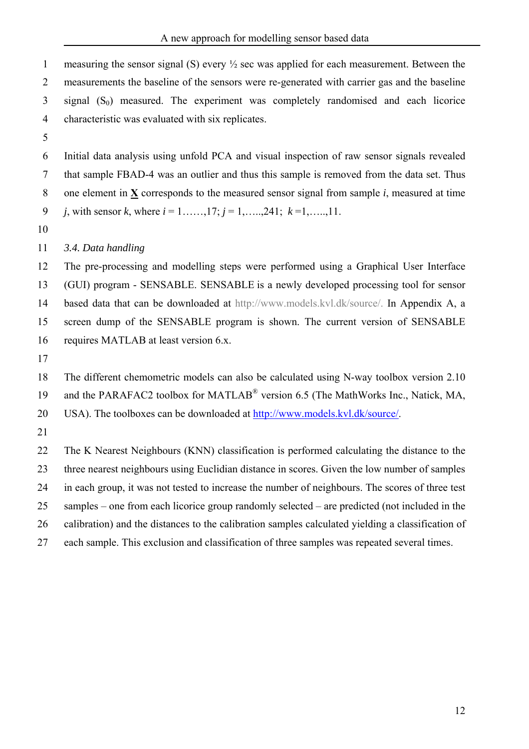```
measuring the sensor signal (S) every ½ sec was applied for each measurement. Between the 
      measurements the baseline of the sensors were re-generated with carrier gas and the baseline 
      signal (S_0) measured. The experiment was completely randomised and each licorice
 1 
 2 
 3 
 4 
 5 
 6 
 7 
      characteristic was evaluated with six replicates. 
      Initial data analysis using unfold PCA and visual inspection of raw sensor signals revealed 
      that sample FBAD-4 was an outlier and thus this sample is removed from the data set. Thus 
      one element in X corresponds to the measured sensor signal from sample i, measured at time
     j, with sensor k, where i = 1, \ldots, 17; j = 1, \ldots, 241; k = 1, \ldots, 11.
 8 
 9 
10 
11 
12 
13 
14 
15 
16 
17 
18 
19 
      3.4. Data handling 
      The pre-processing and modelling steps were performed using a Graphical User Interface 
      (GUI) program - SENSABLE. SENSABLE is a newly developed processing tool for sensor 
      based data that can be downloaded at http://www.models.kvl.dk/source/. In Appendix A, a 
      screen dump of the SENSABLE program is shown. The current version of SENSABLE 
      requires MATLAB at least version 6.x. 
      The different chemometric models can also be calculated using N-way toolbox version 2.10 
      and the PARAFAC2 toolbox for MATLAB<sup>®</sup> version 6.5 (The MathWorks Inc., Natick, MA,
20 USA). The toolboxes can be downloaded at http://www.models.kvl.dk/source/. 
21 
22 
23 
24 
25 
26 
27 
      The K Nearest Neighbours (KNN) classification is performed calculating the distance to the 
      three nearest neighbours using Euclidian distance in scores. Given the low number of samples
      in each group, it was not tested to increase the number of neighbours. The scores of three test 
      samples – one from each licorice group randomly selected – are predicted (not included in the 
      calibration) and the distances to the calibration samples calculated yielding a classification of
      each sample. This exclusion and classification of three samples was repeated several times.
```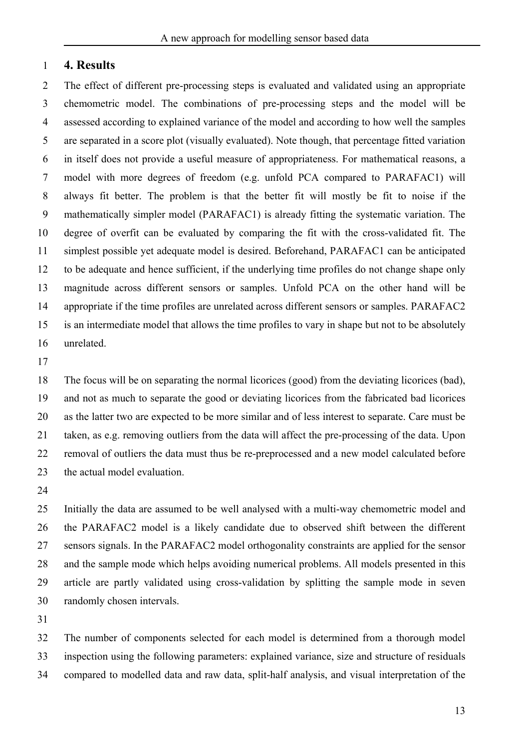### 1 **4. Results**

2 3 4 5 6 7 8 9 10 11 12 13 14 15 16 The effect of different pre-processing steps is evaluated and validated using an appropriate chemometric model. The combinations of pre-processing steps and the model will be assessed according to explained variance of the model and according to how well the samples are separated in a score plot (visually evaluated). Note though, that percentage fitted variation in itself does not provide a useful measure of appropriateness. For mathematical reasons, a model with more degrees of freedom (e.g. unfold PCA compared to PARAFAC1) will always fit better. The problem is that the better fit will mostly be fit to noise if the mathematically simpler model (PARAFAC1) is already fitting the systematic variation. The degree of overfit can be evaluated by comparing the fit with the cross-validated fit. The simplest possible yet adequate model is desired. Beforehand, PARAFAC1 can be anticipated to be adequate and hence sufficient, if the underlying time profiles do not change shape only magnitude across different sensors or samples. Unfold PCA on the other hand will be appropriate if the time profiles are unrelated across different sensors or samples. PARAFAC2 is an intermediate model that allows the time profiles to vary in shape but not to be absolutely unrelated.

17

18 19 20 21 22 23 The focus will be on separating the normal licorices (good) from the deviating licorices (bad), and not as much to separate the good or deviating licorices from the fabricated bad licorices as the latter two are expected to be more similar and of less interest to separate. Care must be taken, as e.g. removing outliers from the data will affect the pre-processing of the data. Upon removal of outliers the data must thus be re-preprocessed and a new model calculated before the actual model evaluation.

24

25 26 27 28 29 30 Initially the data are assumed to be well analysed with a multi-way chemometric model and the PARAFAC2 model is a likely candidate due to observed shift between the different sensors signals. In the PARAFAC2 model orthogonality constraints are applied for the sensor and the sample mode which helps avoiding numerical problems. All models presented in this article are partly validated using cross-validation by splitting the sample mode in seven randomly chosen intervals.

31

32 33 34 The number of components selected for each model is determined from a thorough model inspection using the following parameters: explained variance, size and structure of residuals compared to modelled data and raw data, split-half analysis, and visual interpretation of the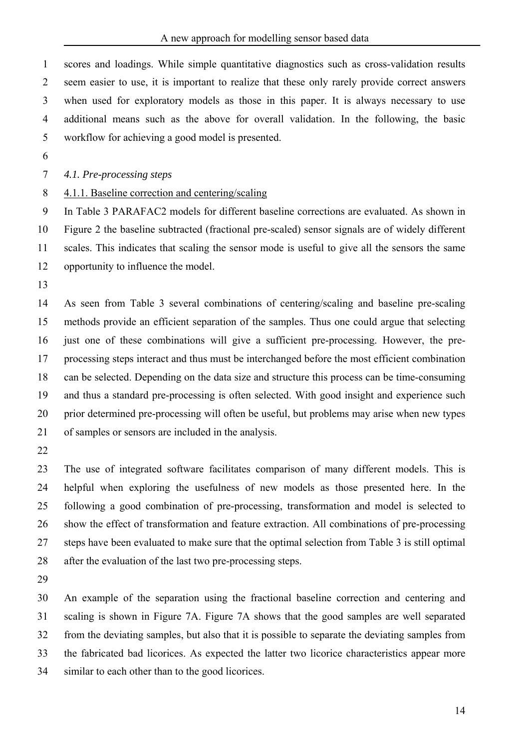1 2 3 4 5 scores and loadings. While simple quantitative diagnostics such as cross-validation results seem easier to use, it is important to realize that these only rarely provide correct answers when used for exploratory models as those in this paper. It is always necessary to use additional means such as the above for overall validation. In the following, the basic workflow for achieving a good model is presented.

6

7 *4.1. Pre-processing steps* 

8 4.1.1. Baseline correction and centering/scaling

9 10 11 12 In Table 3 PARAFAC2 models for different baseline corrections are evaluated. As shown in Figure 2 the baseline subtracted (fractional pre-scaled) sensor signals are of widely different scales. This indicates that scaling the sensor mode is useful to give all the sensors the same opportunity to influence the model.

13

14 15 16 17 18 19 20 21 As seen from Table 3 several combinations of centering/scaling and baseline pre-scaling methods provide an efficient separation of the samples. Thus one could argue that selecting just one of these combinations will give a sufficient pre-processing. However, the preprocessing steps interact and thus must be interchanged before the most efficient combination can be selected. Depending on the data size and structure this process can be time-consuming and thus a standard pre-processing is often selected. With good insight and experience such prior determined pre-processing will often be useful, but problems may arise when new types of samples or sensors are included in the analysis.

22

23 24 25 26 27 28 The use of integrated software facilitates comparison of many different models. This is helpful when exploring the usefulness of new models as those presented here. In the following a good combination of pre-processing, transformation and model is selected to show the effect of transformation and feature extraction. All combinations of pre-processing steps have been evaluated to make sure that the optimal selection from Table 3 is still optimal after the evaluation of the last two pre-processing steps.

29

30 31 32 33 34 An example of the separation using the fractional baseline correction and centering and scaling is shown in Figure 7A. Figure 7A shows that the good samples are well separated from the deviating samples, but also that it is possible to separate the deviating samples from the fabricated bad licorices. As expected the latter two licorice characteristics appear more similar to each other than to the good licorices.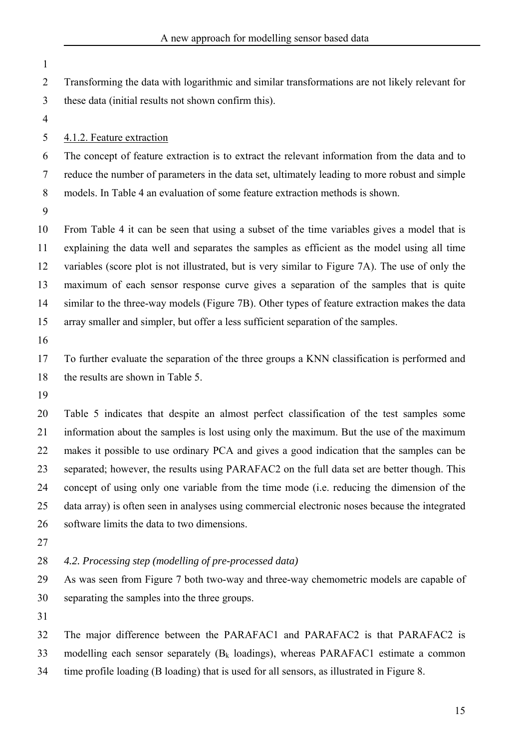- 1 2 3 4 Transforming the data with logarithmic and similar transformations are not likely relevant for these data (initial results not shown confirm this). 5 6 7 8 9 10 11 12 13 14 15 16 17 18 19 20 21 22 23 24 25 26 27 28 29 30 31 32 33 4.1.2. Feature extraction The concept of feature extraction is to extract the relevant information from the data and to reduce the number of parameters in the data set, ultimately leading to more robust and simple models. In Table 4 an evaluation of some feature extraction methods is shown. From Table 4 it can be seen that using a subset of the time variables gives a model that is explaining the data well and separates the samples as efficient as the model using all time variables (score plot is not illustrated, but is very similar to Figure 7A). The use of only the maximum of each sensor response curve gives a separation of the samples that is quite similar to the three-way models (Figure 7B). Other types of feature extraction makes the data array smaller and simpler, but offer a less sufficient separation of the samples. To further evaluate the separation of the three groups a KNN classification is performed and the results are shown in Table 5. Table 5 indicates that despite an almost perfect classification of the test samples some information about the samples is lost using only the maximum. But the use of the maximum makes it possible to use ordinary PCA and gives a good indication that the samples can be separated; however, the results using PARAFAC2 on the full data set are better though. This concept of using only one variable from the time mode (i.e. reducing the dimension of the data array) is often seen in analyses using commercial electronic noses because the integrated software limits the data to two dimensions. *4.2. Processing step (modelling of pre-processed data)* As was seen from Figure 7 both two-way and three-way chemometric models are capable of separating the samples into the three groups. The major difference between the PARAFAC1 and PARAFAC2 is that PARAFAC2 is modelling each sensor separately  $(B_k \text{ loadings})$ , whereas PARAFAC1 estimate a common
- 34 time profile loading (B loading) that is used for all sensors, as illustrated in Figure 8.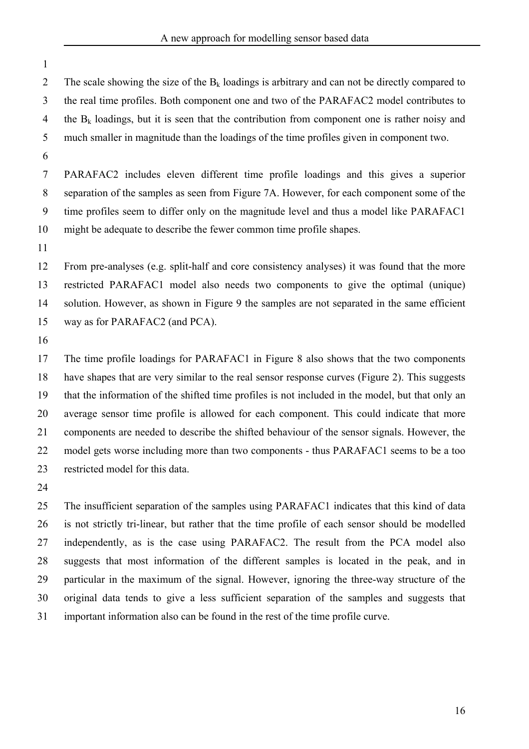2 3 4 5 6 The scale showing the size of the  $B_k$  loadings is arbitrary and can not be directly compared to the real time profiles. Both component one and two of the PARAFAC2 model contributes to the  $B_k$  loadings, but it is seen that the contribution from component one is rather noisy and much smaller in magnitude than the loadings of the time profiles given in component two.

7 8 9 10 PARAFAC2 includes eleven different time profile loadings and this gives a superior separation of the samples as seen from Figure 7A. However, for each component some of the time profiles seem to differ only on the magnitude level and thus a model like PARAFAC1 might be adequate to describe the fewer common time profile shapes.

11

1

12 13 14 15 From pre-analyses (e.g. split-half and core consistency analyses) it was found that the more restricted PARAFAC1 model also needs two components to give the optimal (unique) solution. However, as shown in Figure 9 the samples are not separated in the same efficient way as for PARAFAC2 (and PCA).

16

17 18 19 20 21 22 23 The time profile loadings for PARAFAC1 in Figure 8 also shows that the two components have shapes that are very similar to the real sensor response curves (Figure 2). This suggests that the information of the shifted time profiles is not included in the model, but that only an average sensor time profile is allowed for each component. This could indicate that more components are needed to describe the shifted behaviour of the sensor signals. However, the model gets worse including more than two components - thus PARAFAC1 seems to be a too restricted model for this data.

24

25 26 27 28 29 30 31 The insufficient separation of the samples using PARAFAC1 indicates that this kind of data is not strictly tri-linear, but rather that the time profile of each sensor should be modelled independently, as is the case using PARAFAC2. The result from the PCA model also suggests that most information of the different samples is located in the peak, and in particular in the maximum of the signal. However, ignoring the three-way structure of the original data tends to give a less sufficient separation of the samples and suggests that important information also can be found in the rest of the time profile curve.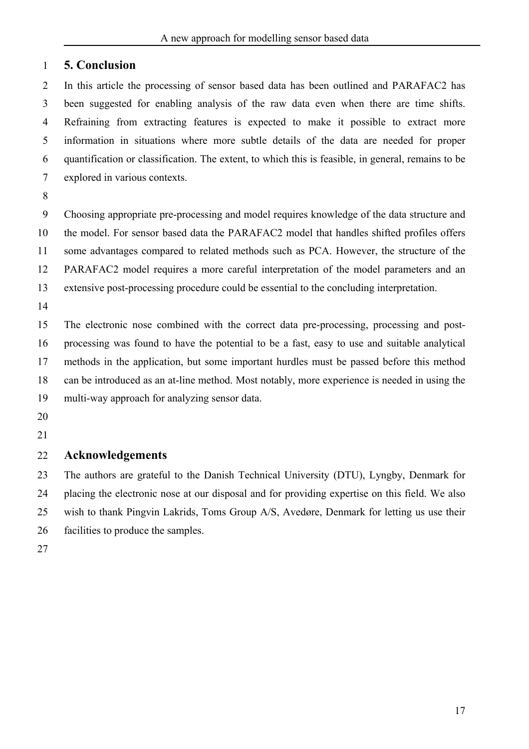## 1 **5. Conclusion**

2 3 4 5 6 7 In this article the processing of sensor based data has been outlined and PARAFAC2 has been suggested for enabling analysis of the raw data even when there are time shifts. Refraining from extracting features is expected to make it possible to extract more information in situations where more subtle details of the data are needed for proper quantification or classification. The extent, to which this is feasible, in general, remains to be explored in various contexts.

8

9 10 11 12 13 Choosing appropriate pre-processing and model requires knowledge of the data structure and the model. For sensor based data the PARAFAC2 model that handles shifted profiles offers some advantages compared to related methods such as PCA. However, the structure of the PARAFAC2 model requires a more careful interpretation of the model parameters and an extensive post-processing procedure could be essential to the concluding interpretation.

14

15 16 17 18 19 The electronic nose combined with the correct data pre-processing, processing and postprocessing was found to have the potential to be a fast, easy to use and suitable analytical methods in the application, but some important hurdles must be passed before this method can be introduced as an at-line method. Most notably, more experience is needed in using the multi-way approach for analyzing sensor data.

- 20
- 21

### 22 **Acknowledgements**

23 24 25 26 The authors are grateful to the Danish Technical University (DTU), Lyngby, Denmark for placing the electronic nose at our disposal and for providing expertise on this field. We also wish to thank Pingvin Lakrids, Toms Group A/S, Avedøre, Denmark for letting us use their facilities to produce the samples.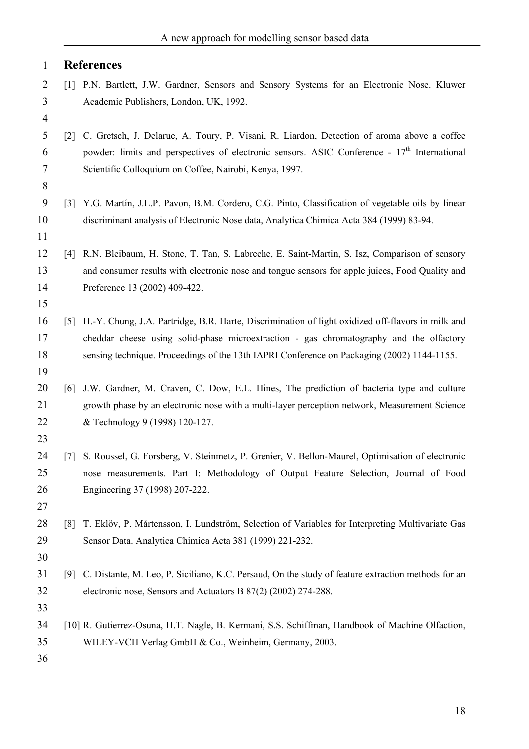| <b>References</b> |
|-------------------|
|                   |

- 2 3 [1] P.N. Bartlett, J.W. Gardner, Sensors and Sensory Systems for an Electronic Nose. Kluwer Academic Publishers, London, UK, 1992.
- 5 6 7 [2] C. Gretsch, J. Delarue, A. Toury, P. Visani, R. Liardon, Detection of aroma above a coffee powder: limits and perspectives of electronic sensors. ASIC Conference -  $17<sup>th</sup>$  International Scientific Colloquium on Coffee, Nairobi, Kenya, 1997.
- 9 10 [3] Y.G. Martín, J.L.P. Pavon, B.M. Cordero, C.G. Pinto, Classification of vegetable oils by linear discriminant analysis of Electronic Nose data, Analytica Chimica Acta 384 (1999) 83-94.
- 12 13 14 [4] R.N. Bleibaum, H. Stone, T. Tan, S. Labreche, E. Saint-Martin, S. Isz, Comparison of sensory and consumer results with electronic nose and tongue sensors for apple juices, Food Quality and Preference 13 (2002) 409-422.
- 15

4

8

11

- 16 17 18 [5] H.-Y. Chung, J.A. Partridge, B.R. Harte, Discrimination of light oxidized off-flavors in milk and cheddar cheese using solid-phase microextraction - gas chromatography and the olfactory sensing technique. Proceedings of the 13th IAPRI Conference on Packaging (2002) 1144-1155.
- 20 21 22 [6] J.W. Gardner, M. Craven, C. Dow, E.L. Hines, The prediction of bacteria type and culture growth phase by an electronic nose with a multi-layer perception network, Measurement Science & Technology 9 (1998) 120-127.
- 23

- 24 25 26 [7] S. Roussel, G. Forsberg, V. Steinmetz, P. Grenier, V. Bellon-Maurel, Optimisation of electronic nose measurements. Part I: Methodology of Output Feature Selection, Journal of Food Engineering 37 (1998) 207-222.
- 28 29 [8] T. Eklöv, P. Mårtensson, I. Lundström, Selection of Variables for Interpreting Multivariate Gas Sensor Data. Analytica Chimica Acta 381 (1999) 221-232.
- 30
- 31 32 [9] C. Distante, M. Leo, P. Siciliano, K.C. Persaud, On the study of feature extraction methods for an electronic nose, Sensors and Actuators B 87(2) (2002) 274-288.
- 33
- 34 35 [10] R. Gutierrez-Osuna, H.T. Nagle, B. Kermani, S.S. Schiffman, Handbook of Machine Olfaction, WILEY-VCH Verlag GmbH & Co., Weinheim, Germany, 2003.
- 36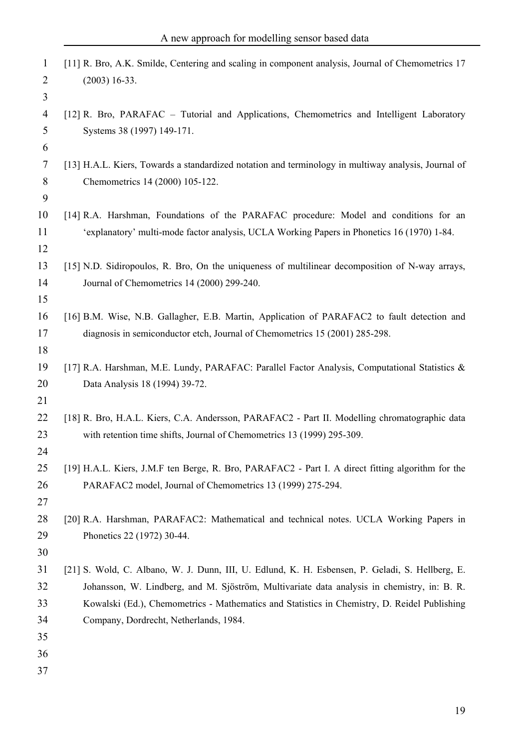| $\mathbf{1}$   | [11] R. Bro, A.K. Smilde, Centering and scaling in component analysis, Journal of Chemometrics 17   |
|----------------|-----------------------------------------------------------------------------------------------------|
| $\overline{2}$ | $(2003)$ 16-33.                                                                                     |
| 3              |                                                                                                     |
| $\overline{4}$ | [12] R. Bro, PARAFAC – Tutorial and Applications, Chemometrics and Intelligent Laboratory           |
| 5              | Systems 38 (1997) 149-171.                                                                          |
| 6              |                                                                                                     |
| $\overline{7}$ | [13] H.A.L. Kiers, Towards a standardized notation and terminology in multiway analysis, Journal of |
| 8              | Chemometrics 14 (2000) 105-122.                                                                     |
| 9              |                                                                                                     |
| 10             | [14] R.A. Harshman, Foundations of the PARAFAC procedure: Model and conditions for an               |
| 11             | 'explanatory' multi-mode factor analysis, UCLA Working Papers in Phonetics 16 (1970) 1-84.          |
| 12             |                                                                                                     |
| 13             | [15] N.D. Sidiropoulos, R. Bro, On the uniqueness of multilinear decomposition of N-way arrays,     |
| 14             | Journal of Chemometrics 14 (2000) 299-240.                                                          |
| 15             |                                                                                                     |
| 16             | [16] B.M. Wise, N.B. Gallagher, E.B. Martin, Application of PARAFAC2 to fault detection and         |
| 17             | diagnosis in semiconductor etch, Journal of Chemometrics 15 (2001) 285-298.                         |
| 18             |                                                                                                     |
| 19             | [17] R.A. Harshman, M.E. Lundy, PARAFAC: Parallel Factor Analysis, Computational Statistics &       |
| 20             | Data Analysis 18 (1994) 39-72.                                                                      |
| 21             |                                                                                                     |
| 22             | [18] R. Bro, H.A.L. Kiers, C.A. Andersson, PARAFAC2 - Part II. Modelling chromatographic data       |
| 23             | with retention time shifts, Journal of Chemometrics 13 (1999) 295-309.                              |
| 24             |                                                                                                     |
| 25             | [19] H.A.L. Kiers, J.M.F ten Berge, R. Bro, PARAFAC2 - Part I. A direct fitting algorithm for the   |
| 26             | PARAFAC2 model, Journal of Chemometrics 13 (1999) 275-294.                                          |
| 27             |                                                                                                     |
| 28             | [20] R.A. Harshman, PARAFAC2: Mathematical and technical notes. UCLA Working Papers in              |
| 29             | Phonetics 22 (1972) 30-44.                                                                          |
| 30             |                                                                                                     |
| 31             | [21] S. Wold, C. Albano, W. J. Dunn, III, U. Edlund, K. H. Esbensen, P. Geladi, S. Hellberg, E.     |
| 32             | Johansson, W. Lindberg, and M. Sjöström, Multivariate data analysis in chemistry, in: B. R.         |
| 33             | Kowalski (Ed.), Chemometrics - Mathematics and Statistics in Chemistry, D. Reidel Publishing        |
| 34             | Company, Dordrecht, Netherlands, 1984.                                                              |
| 35             |                                                                                                     |
| 36             |                                                                                                     |
| 37             |                                                                                                     |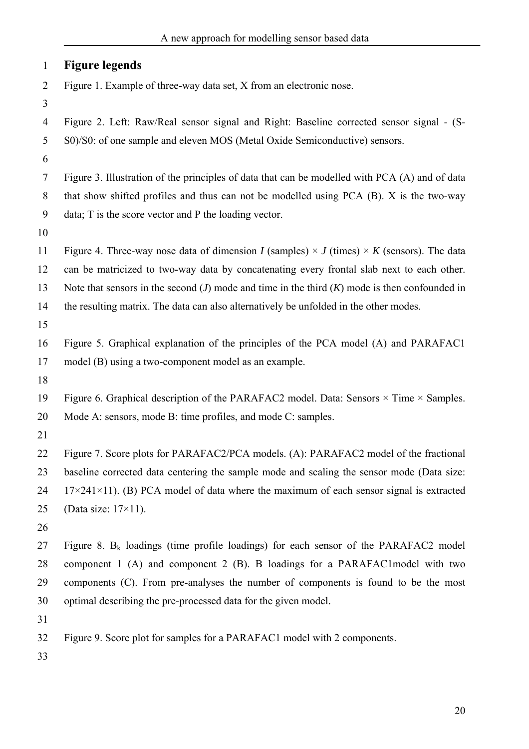| $\mathbf{1}$   | <b>Figure legends</b>                                                                                    |
|----------------|----------------------------------------------------------------------------------------------------------|
| $\overline{2}$ | Figure 1. Example of three-way data set, X from an electronic nose.                                      |
| 3              |                                                                                                          |
| 4              | Figure 2. Left: Raw/Real sensor signal and Right: Baseline corrected sensor signal - (S-                 |
| 5              | S0)/S0: of one sample and eleven MOS (Metal Oxide Semiconductive) sensors.                               |
| 6              |                                                                                                          |
| 7              | Figure 3. Illustration of the principles of data that can be modelled with PCA (A) and of data           |
| 8              | that show shifted profiles and thus can not be modelled using PCA (B). X is the two-way                  |
| 9              | data; T is the score vector and P the loading vector.                                                    |
| 10             |                                                                                                          |
| 11             | Figure 4. Three-way nose data of dimension I (samples) $\times$ J (times) $\times$ K (sensors). The data |
| 12             | can be matricized to two-way data by concatenating every frontal slab next to each other.                |
| 13             | Note that sensors in the second $(J)$ mode and time in the third $(K)$ mode is then confounded in        |
| 14             | the resulting matrix. The data can also alternatively be unfolded in the other modes.                    |
| 15             |                                                                                                          |
| 16             | Figure 5. Graphical explanation of the principles of the PCA model (A) and PARAFAC1                      |
| 17             | model (B) using a two-component model as an example.                                                     |
| 18             |                                                                                                          |
| 19             | Figure 6. Graphical description of the PARAFAC2 model. Data: Sensors $\times$ Time $\times$ Samples.     |
| 20             | Mode A: sensors, mode B: time profiles, and mode C: samples.                                             |
| 21             |                                                                                                          |
| 22             | Figure 7. Score plots for PARAFAC2/PCA models. (A): PARAFAC2 model of the fractional                     |
| 23             | baseline corrected data centering the sample mode and scaling the sensor mode (Data size:                |
| 24             | $17 \times 241 \times 11$ ). (B) PCA model of data where the maximum of each sensor signal is extracted  |
| 25             | (Data size: $17\times11$ ).                                                                              |
| 26             |                                                                                                          |
| 27             | Figure 8. $B_k$ loadings (time profile loadings) for each sensor of the PARAFAC2 model                   |
| 28             | component 1 (A) and component 2 (B). B loadings for a PARAFAC1model with two                             |
| 29             | components (C). From pre-analyses the number of components is found to be the most                       |
| 30             | optimal describing the pre-processed data for the given model.                                           |
| 31             |                                                                                                          |
| 32             | Figure 9. Score plot for samples for a PARAFAC1 model with 2 components.                                 |
|                |                                                                                                          |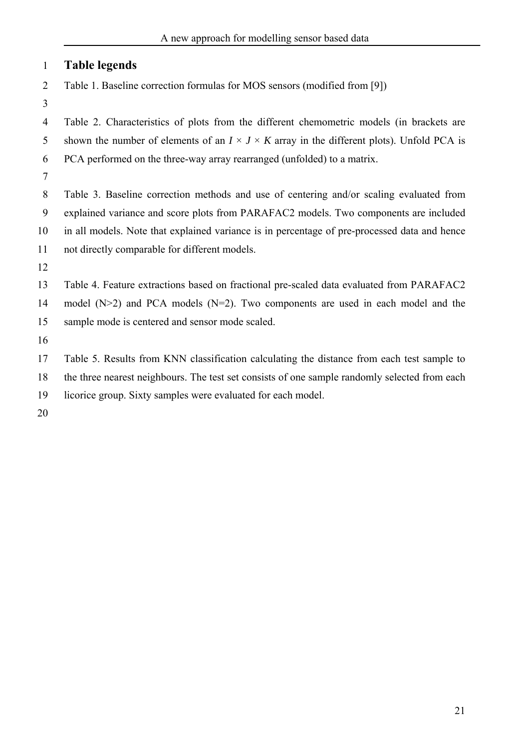# 1 **Table legends**

2 Table 1. Baseline correction formulas for MOS sensors (modified from [9])

3

4 5 6 Table 2. Characteristics of plots from the different chemometric models (in brackets are shown the number of elements of an  $I \times J \times K$  array in the different plots). Unfold PCA is PCA performed on the three-way array rearranged (unfolded) to a matrix.

7

8 9 10 11 Table 3. Baseline correction methods and use of centering and/or scaling evaluated from explained variance and score plots from PARAFAC2 models. Two components are included in all models. Note that explained variance is in percentage of pre-processed data and hence not directly comparable for different models.

12

13 Table 4. Feature extractions based on fractional pre-scaled data evaluated from PARAFAC2

14 15 model  $(N>2)$  and PCA models  $(N=2)$ . Two components are used in each model and the sample mode is centered and sensor mode scaled.

16

17 18 Table 5. Results from KNN classification calculating the distance from each test sample to the three nearest neighbours. The test set consists of one sample randomly selected from each

- 19 licorice group. Sixty samples were evaluated for each model.
- 20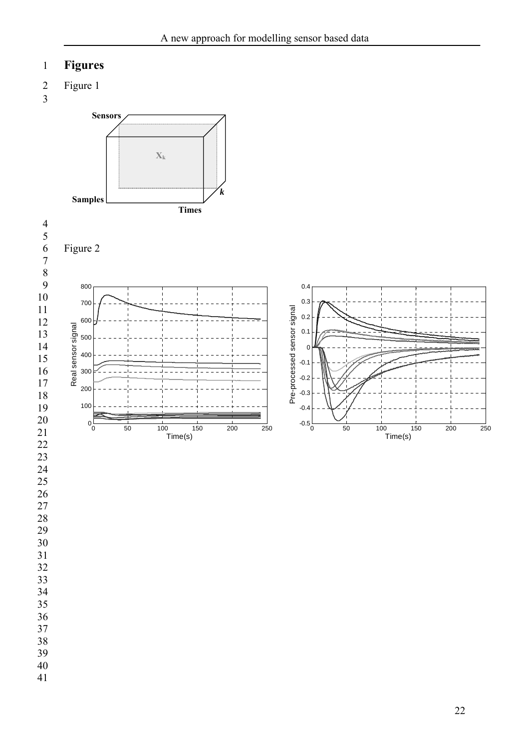# **Figures**

 Figure 1

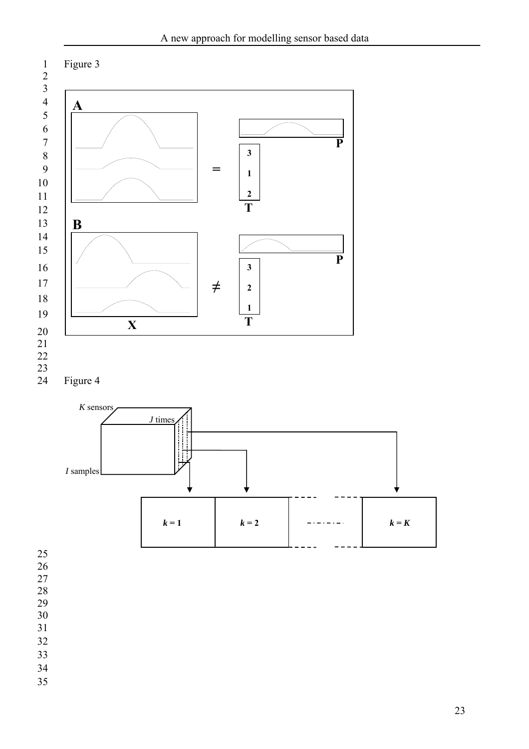

- 
- 
- 
- 
- 
- 
- 
-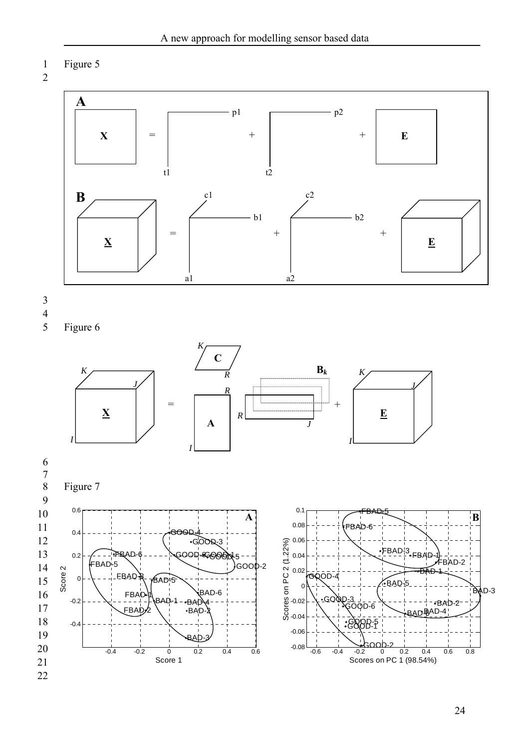```
1 
     Figure 5
```


3 4 5

-0.4

-0.2



-0.08 -0.06 -0.04 -0.02

-0.4 -0.2 0 0.2 0.4 0.6

 $-BAD-2$ 

- BAD

BAD-3

BAD-1

Score 1

FBAD-2

BAD-2

BAD<sup>BAD-4</sup>

-0.6 -0.4 -0.2 0 0.2 0.4 0.6 0.8

GOOD-2

GOOD-1 GOOD-5

 $\bar{3}$ OOD-6

 $D=3$ 

Scores on PC 1 (98.54%)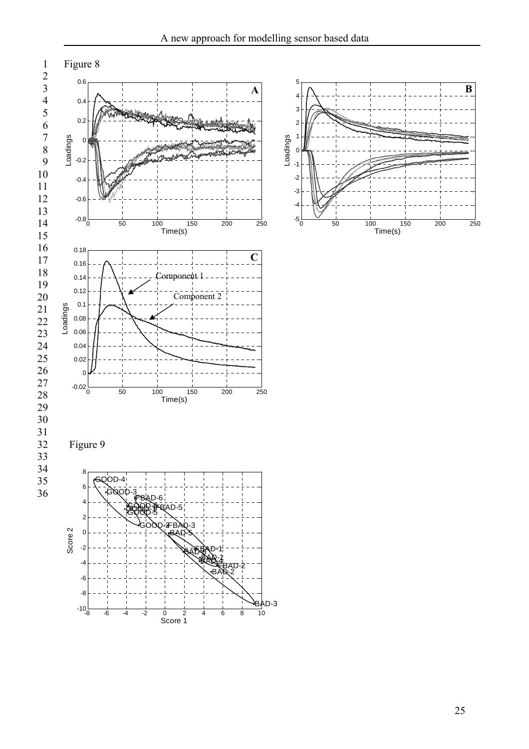

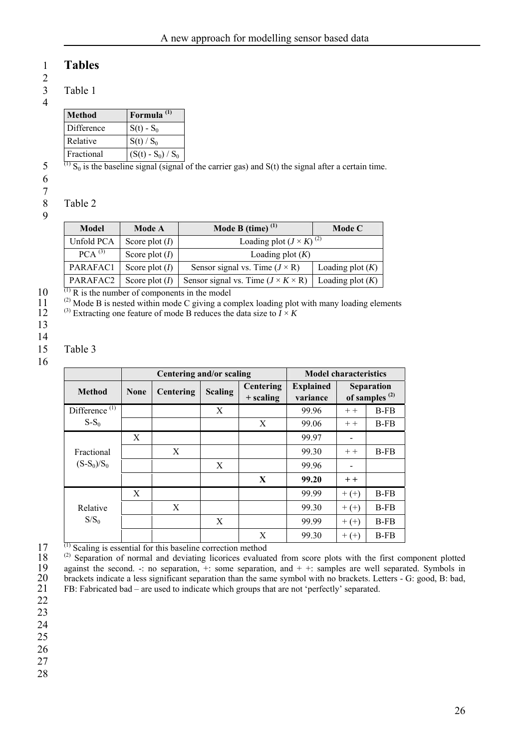# 1 **Tables**

2

3 Table 1

| <b>Method</b> | Formula <sup>(1)</sup> |
|---------------|------------------------|
| Difference    | $S(t) - S_0$           |
| Relative      | $S(t) / S_0$           |
| Fractional    | $(S(t) - S_0) / S_0$   |

 $\overline{^{(1)}S_0}$  is the baseline signal (signal of the carrier gas) and S(t) the signal after a certain time.

6

5

7 8

### Table 2

| 2                 |
|-------------------|
|                   |
| I<br>ı<br>I<br>۰. |

| Model       | <b>Mode A</b>    | Mode B (time) $(1)$                            | Mode C             |
|-------------|------------------|------------------------------------------------|--------------------|
| Unfold PCA  | Score plot $(I)$ | Loading plot $(J \times K)^{(2)}$              |                    |
| $PCA^{(3)}$ | Score plot $(I)$ | Loading plot $(K)$                             |                    |
| PARAFAC1    | Score plot $(I)$ | Sensor signal vs. Time $(J \times R)$          | Loading plot $(K)$ |
| PARAFAC2    | Score plot $(I)$ | Sensor signal vs. Time $(J \times K \times R)$ | Loading plot $(K)$ |

10  $\overline{^{(1)}R}$  is the number of components in the model

11 (2) Mode B is nested within mode C giving a complex loading plot with many loading elements

12 <sup>(3)</sup> Extracting one feature of mode B reduces the data size to  $\overrightarrow{I} \times \overrightarrow{K}$ 

13

14

### 15 Table 3

16

|                           | Centering and/or scaling |           |                |                          | <b>Model characteristics</b> |         |                                       |
|---------------------------|--------------------------|-----------|----------------|--------------------------|------------------------------|---------|---------------------------------------|
| <b>Method</b>             | <b>None</b>              | Centering | <b>Scaling</b> | Centering<br>$+$ scaling | <b>Explained</b><br>variance |         | <b>Separation</b><br>of samples $(2)$ |
| Difference <sup>(1)</sup> |                          |           | X              |                          | 99.96                        | $++$    | B-FB                                  |
| $S-S_0$                   |                          |           |                | X                        | 99.06                        | $++$    | $B-FB$                                |
|                           | X                        |           |                |                          | 99.97                        |         |                                       |
| Fractional                |                          | X         |                |                          | 99.30                        | $++$    | $B-FB$                                |
| $(S-S_0)/S_0$             |                          |           | X              |                          | 99.96                        |         |                                       |
|                           |                          |           |                | X                        | 99.20                        | $+ +$   |                                       |
|                           | X                        |           |                |                          | 99.99                        | $+ (+)$ | $B-FB$                                |
| Relative                  |                          | X         |                |                          | 99.30                        | $+ (+)$ | $B-FB$                                |
| $S/S_0$                   |                          |           | X              |                          | 99.99                        | $+ (+)$ | $B-FB$                                |
| $(1)$ $\alpha$ $\cdots$   |                          |           |                | X                        | 99.30                        | $+ (+)$ | $B-FB$                                |

17  $(1)$  Scaling is essential for this baseline correction method

18 19 20 21 <sup>(2)</sup> Separation of normal and deviating licorices evaluated from score plots with the first component plotted against the second. -: no separation,  $+$ : some separation, and  $+$  +: samples are well separated. Symbols in brackets indicate a less significant separation than the same symbol with no brackets. Letters - G: good, B: bad, FB: Fabricated bad – are used to indicate which groups that are not 'perfectly' separated.

22

23 24

25

26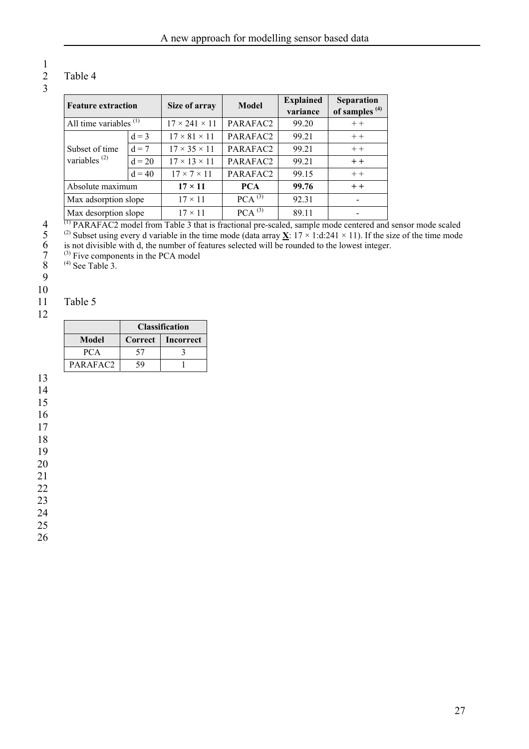# Table 4

## 2 3

1

| <b>Feature extraction</b> |          | Size of array             | <b>Model</b>       | <b>Explained</b><br>variance | <b>Separation</b><br>of samples $(4)$ |
|---------------------------|----------|---------------------------|--------------------|------------------------------|---------------------------------------|
| All time variables $(1)$  |          | $17 \times 241 \times 11$ | PARAFAC2           | 99.20                        | $++$                                  |
|                           | $d = 3$  | $17 \times 81 \times 11$  | PARAFAC2           | 99.21                        | $++$                                  |
| Subset of time            | $d = 7$  | $17 \times 35 \times 11$  | PARAFAC2           | 99.21                        | $++$                                  |
| variables $^{(2)}$        | $d = 20$ | $17 \times 13 \times 11$  | PARAFAC2           | 99.21                        | $+ +$                                 |
|                           | $d = 40$ | $17 \times 7 \times 11$   | PARAFAC2           | 99.15                        | $++$                                  |
| Absolute maximum          |          | $17 \times 11$            | <b>PCA</b>         | 99.76                        | $+ +$                                 |
| Max adsorption slope      |          | $17 \times 11$            | PCA <sup>(3)</sup> | 92.31                        |                                       |
| Max desorption slope      |          | $17 \times 11$            | PCA <sup>(3)</sup> | 89.11                        |                                       |

<sup>(1)</sup> PARAFAC2 model from Table 3 that is fractional pre-scaled, sample mode centered and sensor mode scaled

5 <sup>(2)</sup> Subset using every d variable in the time mode (data array  $\underline{\mathbf{X}}$ :  $17 \times 1$ :d:241 × 11). If the size of the time mode is not divisible with d, the number of features selected will be rounded to the lowest integer.

6 7  $^{(3)}$  Five components in the PCA model

8  $^{(4)}$  See Table 3.

9

## 10

### 11 Table 5

|          | <b>Classification</b> |           |
|----------|-----------------------|-----------|
| Model    | <b>Correct</b>        | Incorrect |
| PCA      | 57                    |           |
| PARAFAC2 | 59                    |           |

13

14 15

16

17

18

19 20

21

22

23